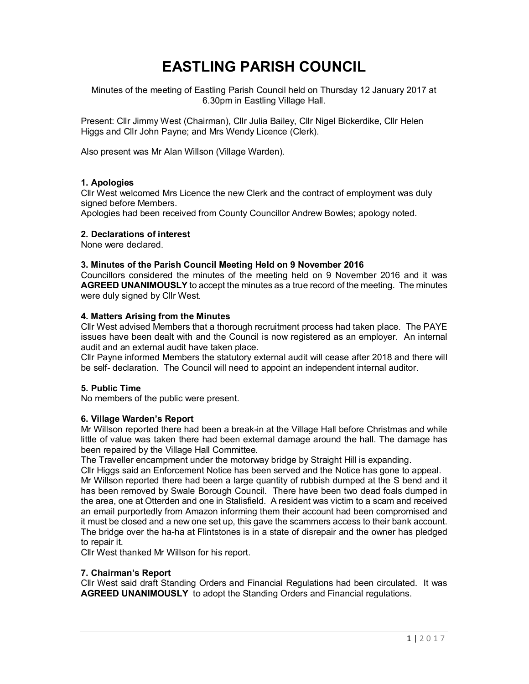# **EASTLING PARISH COUNCIL**

Minutes of the meeting of Eastling Parish Council held on Thursday 12 January 2017 at 6.30pm in Eastling Village Hall.

Present: Cllr Jimmy West (Chairman), Cllr Julia Bailey, Cllr Nigel Bickerdike, Cllr Helen Higgs and Cllr John Payne; and Mrs Wendy Licence (Clerk).

Also present was Mr Alan Willson (Village Warden).

## **1. Apologies**

Cllr West welcomed Mrs Licence the new Clerk and the contract of employment was duly signed before Members.

Apologies had been received from County Councillor Andrew Bowles; apology noted.

#### **2. Declarations of interest**

None were declared.

#### **3. Minutes of the Parish Council Meeting Held on 9 November 2016**

Councillors considered the minutes of the meeting held on 9 November 2016 and it was **AGREED UNANIMOUSLY** to accept the minutes as a true record of the meeting. The minutes were duly signed by Cllr West.

#### **4. Matters Arising from the Minutes**

Cllr West advised Members that a thorough recruitment process had taken place. The PAYE issues have been dealt with and the Council is now registered as an employer. An internal audit and an external audit have taken place.

Cllr Payne informed Members the statutory external audit will cease after 2018 and there will be self- declaration. The Council will need to appoint an independent internal auditor.

#### **5. Public Time**

No members of the public were present.

## **6. Village Warden's Report**

Mr Willson reported there had been a break-in at the Village Hall before Christmas and while little of value was taken there had been external damage around the hall. The damage has been repaired by the Village Hall Committee.

The Traveller encampment under the motorway bridge by Straight Hill is expanding.

Cllr Higgs said an Enforcement Notice has been served and the Notice has gone to appeal. Mr Willson reported there had been a large quantity of rubbish dumped at the S bend and it has been removed by Swale Borough Council. There have been two dead foals dumped in the area, one at Otterden and one in Stalisfield. A resident was victim to a scam and received an email purportedly from Amazon informing them their account had been compromised and it must be closed and a new one set up, this gave the scammers access to their bank account. The bridge over the ha-ha at Flintstones is in a state of disrepair and the owner has pledged to repair it.

Cllr West thanked Mr Willson for his report.

#### **7. Chairman's Report**

Cllr West said draft Standing Orders and Financial Regulations had been circulated. It was **AGREED UNANIMOUSLY** to adopt the Standing Orders and Financial regulations.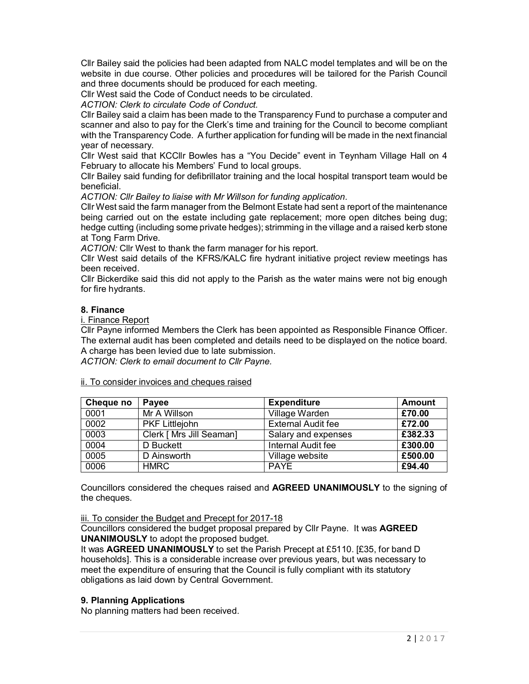Cllr Bailey said the policies had been adapted from NALC model templates and will be on the website in due course. Other policies and procedures will be tailored for the Parish Council and three documents should be produced for each meeting.

Cllr West said the Code of Conduct needs to be circulated.

*ACTION: Clerk to circulate Code of Conduct.*

Cllr Bailey said a claim has been made to the Transparency Fund to purchase a computer and scanner and also to pay for the Clerk's time and training for the Council to become compliant with the Transparency Code. A further application for funding will be made in the next financial year of necessary.

Cllr West said that KCCllr Bowles has a "You Decide" event in Teynham Village Hall on 4 February to allocate his Members' Fund to local groups.

Cllr Bailey said funding for defibrillator training and the local hospital transport team would be beneficial.

*ACTION: Cllr Bailey to liaise with Mr Willson for funding application.*

Cllr West said the farm manager from the Belmont Estate had sent a report of the maintenance being carried out on the estate including gate replacement; more open ditches being dug; hedge cutting (including some private hedges); strimming in the village and a raised kerb stone at Tong Farm Drive.

*ACTION:* Cllr West to thank the farm manager for his report.

Cllr West said details of the KFRS/KALC fire hydrant initiative project review meetings has been received.

Cllr Bickerdike said this did not apply to the Parish as the water mains were not big enough for fire hydrants.

## **8. Finance**

i. Finance Report

Cllr Payne informed Members the Clerk has been appointed as Responsible Finance Officer. The external audit has been completed and details need to be displayed on the notice board. A charge has been levied due to late submission.

*ACTION: Clerk to email document to Cllr Payne.*

ii. To consider invoices and cheques raised

| Cheque no | Payee                    | <b>Expenditure</b>        | Amount  |
|-----------|--------------------------|---------------------------|---------|
| 0001      | Mr A Willson             | Village Warden            | £70.00  |
| 0002      | <b>PKF Littlejohn</b>    | <b>External Audit fee</b> | £72.00  |
| 0003      | Clerk [ Mrs Jill Seaman] | Salary and expenses       | £382.33 |
| 0004      | D Buckett                | Internal Audit fee        | £300.00 |
| 0005      | D Ainsworth              | Village website           | £500.00 |
| 0006      | <b>HMRC</b>              | <b>PAYE</b>               | £94.40  |

Councillors considered the cheques raised and **AGREED UNANIMOUSLY** to the signing of the cheques.

iii. To consider the Budget and Precept for 2017-18

Councillors considered the budget proposal prepared by Cllr Payne. It was **AGREED UNANIMOUSLY** to adopt the proposed budget.

It was **AGREED UNANIMOUSLY** to set the Parish Precept at £5110. [£35, for band D households]. This is a considerable increase over previous years, but was necessary to meet the expenditure of ensuring that the Council is fully compliant with its statutory obligations as laid down by Central Government.

## **9. Planning Applications**

No planning matters had been received.